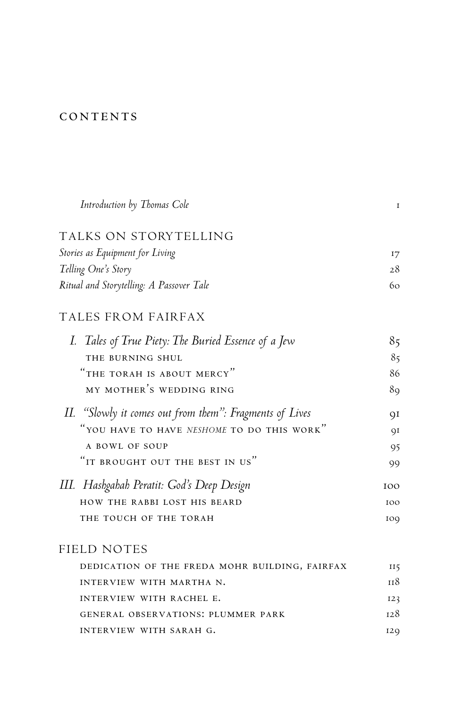## **CONTENTS**

| Introduction by Thomas Cole                             | $\mathbf{I}$ |
|---------------------------------------------------------|--------------|
| TALKS ON STORYTELLING                                   |              |
| Stories as Equipment for Living                         | 17           |
| Telling One's Story                                     | 28           |
| Ritual and Storytelling: A Passover Tale                | 60           |
| TALES FROM FAIRFAX                                      |              |
| I. Tales of True Piety: The Buried Essence of a Jew     | 85           |
| THE BURNING SHUL                                        | 85           |
| "THE TORAH IS ABOUT MERCY"                              | 86           |
| MY MOTHER'S WEDDING RING                                | 89           |
| II. "Slowly it comes out from them": Fragments of Lives | QI           |
| "YOU HAVE TO HAVE NESHOME TO DO THIS WORK"              | QI           |
| A BOWL OF SOUP                                          | 95           |
| "IT BROUGHT OUT THE BEST IN US"                         | 99           |
| III.   Hashgahah Peratit: God's Deep Design             | 100          |
| HOW THE RABBI LOST HIS BEARD                            | 100          |
| THE TOUCH OF THE TORAH                                  | 100          |
| FIELD NOTES                                             |              |
| DEDICATION OF THE FREDA MOHR BUILDING, FAIRFAX          | 115          |
| INTERVIEW WITH MARTHA N.                                | 118          |
| INTERVIEW WITH RACHEL E.                                | 123          |

| $\cdots$                           | $-1$ |
|------------------------------------|------|
| GENERAL OBSERVATIONS: PLUMMER PARK | 128  |
| INTERVIEW WITH SARAH G.            | 120  |